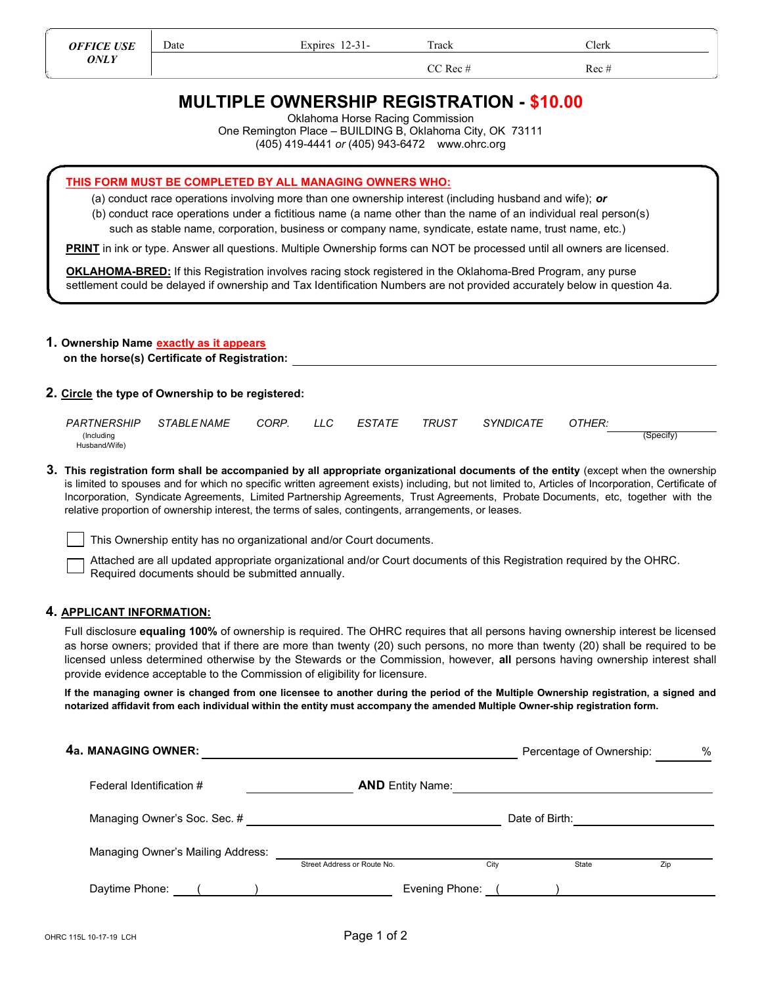Date Expires 12-31- Track Clerk

 $CC \text{Rec } #$  Rec #

# MULTIPLE OWNERSHIP REGISTRATION - \$10.00

Oklahoma Horse Racing Commission

One Remington Place – BUILDING B, Oklahoma City, OK 73111

(405) 419-4441 or (405) 943-6472 www.ohrc.org

THIS FORM MUST BE COMPLETED BY ALL MANAGING OWNERS WHO:

(a) conduct race operations involving more than one ownership interest (including husband and wife); or

(b) conduct race operations under a fictitious name (a name other than the name of an individual real person(s)

such as stable name, corporation, business or company name, syndicate, estate name, trust name, etc.)

PRINT in ink or type. Answer all questions. Multiple Ownership forms can NOT be processed until all owners are licensed.

OKLAHOMA-BRED: If this Registration involves racing stock registered in the Oklahoma-Bred Program, any purse settlement could be delayed if ownership and Tax Identification Numbers are not provided accurately below in question 4a.

# 1. Ownership Name exactly as it appears

on the horse(s) Certificate of Registration:

### 2. Circle the type of Ownership to be registered:

| <i>PARTNERSHIP</i> | <i>STABLE NAME</i> | CORP. | LLC. | <b>ESTATE</b> | TRUST | <b>SYNDICATE</b> | OTHER: |           |
|--------------------|--------------------|-------|------|---------------|-------|------------------|--------|-----------|
| (Including         |                    |       |      |               |       |                  |        | (Specify) |
| Husband/Wife)      |                    |       |      |               |       |                  |        |           |

3. This registration form shall be accompanied by all appropriate organizational documents of the entity (except when the ownership is limited to spouses and for which no specific written agreement exists) including, but not limited to, Articles of Incorporation, Certificate of Incorporation, Syndicate Agreements, Limited Partnership Agreements, Trust Agreements, Probate Documents, etc, together with the relative proportion of ownership interest, the terms of sales, contingents, arrangements, or leases.

This Ownership entity has no organizational and/or Court documents.

Attached are all updated appropriate organizational and/or Court documents of this Registration required by the OHRC. Required documents should be submitted annually.

### 4. APPLICANT INFORMATION:

Full disclosure equaling 100% of ownership is required. The OHRC requires that all persons having ownership interest be licensed as horse owners; provided that if there are more than twenty (20) such persons, no more than twenty (20) shall be required to be licensed unless determined otherwise by the Stewards or the Commission, however, all persons having ownership interest shall provide evidence acceptable to the Commission of eligibility for licensure.

If the managing owner is changed from one licensee to another during the period of the Multiple Ownership registration, a signed and notarized affidavit from each individual within the entity must accompany the amended Multiple Owner-ship registration form.

| 4a. MANAGING OWNER:               |                             |                  | Percentage of Ownership: | %   |
|-----------------------------------|-----------------------------|------------------|--------------------------|-----|
| Federal Identification #          | <b>AND</b> Entity Name:     |                  |                          |     |
| Managing Owner's Soc. Sec. #      |                             |                  | Date of Birth:           |     |
| Managing Owner's Mailing Address: | Street Address or Route No. | City             | State                    | Zip |
| Daytime Phone: ( )                |                             | Evening Phone: ( |                          |     |